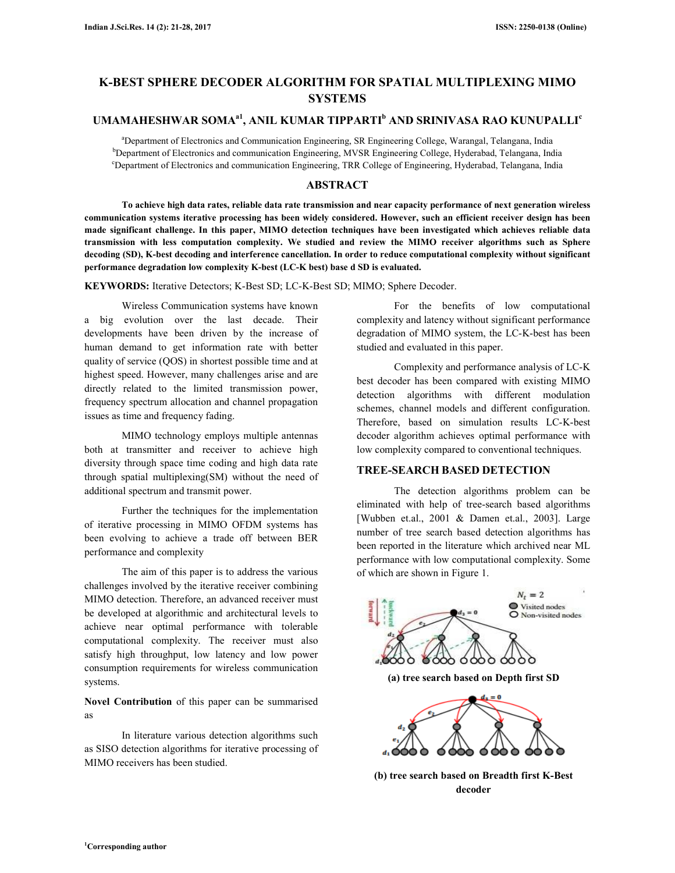# **K-BEST SPHERE DECODER ALGORITHM FOR SPATIAL MULTIPLEXING MIMO SYSTEMS**

## **UMAMAHESHWAR SOMAa1, ANIL KUMAR TIPPARTI<sup>b</sup> AND SRINIVASA RAO KUNUPALLI<sup>c</sup>**

<sup>a</sup>Department of Electronics and Communication Engineering, SR Engineering College, Warangal, Telangana, India <sup>b</sup>Department of Electronics and communication Engineering, MVSR Engineering College, Hyderabad, Telangana, India <sup>c</sup>Department of Electronics and communication Engineering, TRR College of Engineering, Hyderabad, Telangana, India

### **ABSTRACT**

**To achieve high data rates, reliable data rate transmission and near capacity performance of next generation wireless communication systems iterative processing has been widely considered. However, such an efficient receiver design has been made significant challenge. In this paper, MIMO detection techniques have been investigated which achieves reliable data transmission with less computation complexity. We studied and review the MIMO receiver algorithms such as Sphere decoding (SD), K-best decoding and interference cancellation. In order to reduce computational complexity without significant performance degradation low complexity K-best (LC-K best) base d SD is evaluated.** 

**KEYWORDS:** Iterative Detectors; K-Best SD; LC-K-Best SD; MIMO; Sphere Decoder.

 Wireless Communication systems have known a big evolution over the last decade. Their developments have been driven by the increase of human demand to get information rate with better quality of service (QOS) in shortest possible time and at highest speed. However, many challenges arise and are directly related to the limited transmission power, frequency spectrum allocation and channel propagation issues as time and frequency fading.

 MIMO technology employs multiple antennas both at transmitter and receiver to achieve high diversity through space time coding and high data rate through spatial multiplexing(SM) without the need of additional spectrum and transmit power.

 Further the techniques for the implementation of iterative processing in MIMO OFDM systems has been evolving to achieve a trade off between BER performance and complexity

 The aim of this paper is to address the various challenges involved by the iterative receiver combining MIMO detection. Therefore, an advanced receiver must be developed at algorithmic and architectural levels to achieve near optimal performance with tolerable computational complexity. The receiver must also satisfy high throughput, low latency and low power consumption requirements for wireless communication systems.

**Novel Contribution** of this paper can be summarised as

 In literature various detection algorithms such as SISO detection algorithms for iterative processing of MIMO receivers has been studied.

 For the benefits of low computational complexity and latency without significant performance degradation of MIMO system, the LC-K-best has been studied and evaluated in this paper.

 Complexity and performance analysis of LC-K best decoder has been compared with existing MIMO detection algorithms with different modulation schemes, channel models and different configuration. Therefore, based on simulation results LC-K-best decoder algorithm achieves optimal performance with low complexity compared to conventional techniques.

## **TREE-SEARCH BASED DETECTION**

 The detection algorithms problem can be eliminated with help of tree-search based algorithms [Wubben et.al., 2001 & Damen et.al., 2003]. Large number of tree search based detection algorithms has been reported in the literature which archived near ML performance with low computational complexity. Some of which are shown in Figure 1.



**(b) tree search based on Breadth first K-Best decoder**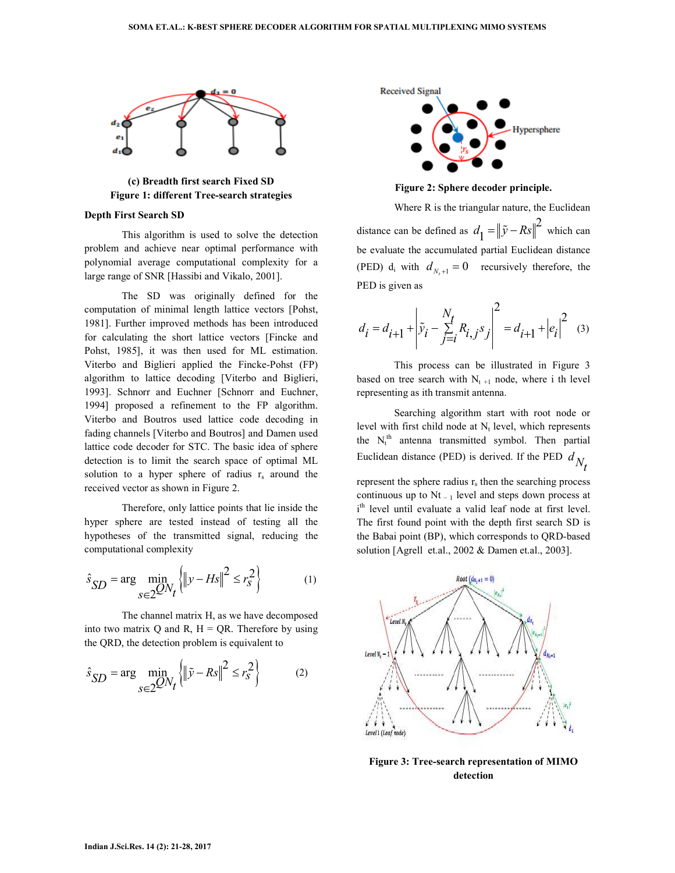

**(c) Breadth first search Fixed SD Figure 1: different Tree-search strategies** 

#### **Depth First Search SD**

 This algorithm is used to solve the detection problem and achieve near optimal performance with polynomial average computational complexity for a large range of SNR [Hassibi and Vikalo, 2001].

 The SD was originally defined for the computation of minimal length lattice vectors [Pohst, 1981]. Further improved methods has been introduced for calculating the short lattice vectors [Fincke and Pohst, 1985], it was then used for ML estimation. Viterbo and Biglieri applied the Fincke-Pohst (FP) algorithm to lattice decoding [Viterbo and Biglieri, 1993]. Schnorr and Euchner [Schnorr and Euchner, 1994] proposed a refinement to the FP algorithm. Viterbo and Boutros used lattice code decoding in fading channels [Viterbo and Boutros] and Damen used lattice code decoder for STC. The basic idea of sphere detection is to limit the search space of optimal ML solution to a hyper sphere of radius  $r_s$  around the received vector as shown in Figure 2.

 Therefore, only lattice points that lie inside the hyper sphere are tested instead of testing all the hypotheses of the transmitted signal, reducing the computational complexity

$$
\hat{s}_{SD} = \arg\min_{s \in 2} \mathcal{Q} N_t \left\{ \left\| y - H s \right\|^2 \le r_s^2 \right\} \tag{1}
$$

 The channel matrix H, as we have decomposed into two matrix  $Q$  and  $R$ ,  $H = QR$ . Therefore by using the QRD, the detection problem is equivalent to

$$
\hat{s}_{SD} = \arg\min_{s \in 2} \mathcal{Q} N_t \left\{ \left\| \tilde{y} - Rs \right\|^2 \le r_s^2 \right\} \tag{2}
$$



**Figure 2: Sphere decoder principle.** 

 Where R is the triangular nature, the Euclidean distance can be defined as  $d_1 = ||\tilde{y} - Rs||^2$  $d_1 = ||\tilde{y} - Rs||^2$  which can be evaluate the accumulated partial Euclidean distance (PED)  $d_i$  with  $d_{N_t+1} = 0$  recursively therefore, the PED is given as

$$
d_i = d_{i+1} + \left| \tilde{y}_i - \sum_{j=i}^{N_t} R_{i,j} s_j \right|^2 = d_{i+1} + |e_i|^2 \quad (3)
$$

 This process can be illustrated in Figure 3 based on tree search with  $N_{t+1}$  node, where i th level representing as ith transmit antenna.

 Searching algorithm start with root node or level with first child node at  $N_t$  level, which represents the  $N_t^{th}$  antenna transmitted symbol. Then partial Euclidean distance (PED) is derived. If the PED  $d_{N_A}$ 

represent the sphere radius  $r_s$  then the searching process continuous up to  $Nt_{-1}$  level and steps down process at i<sup>th</sup> level until evaluate a valid leaf node at first level. The first found point with the depth first search SD is the Babai point (BP), which corresponds to QRD-based solution [Agrell et.al., 2002 & Damen et.al., 2003].



**Figure 3: Tree-search representation of MIMO detection**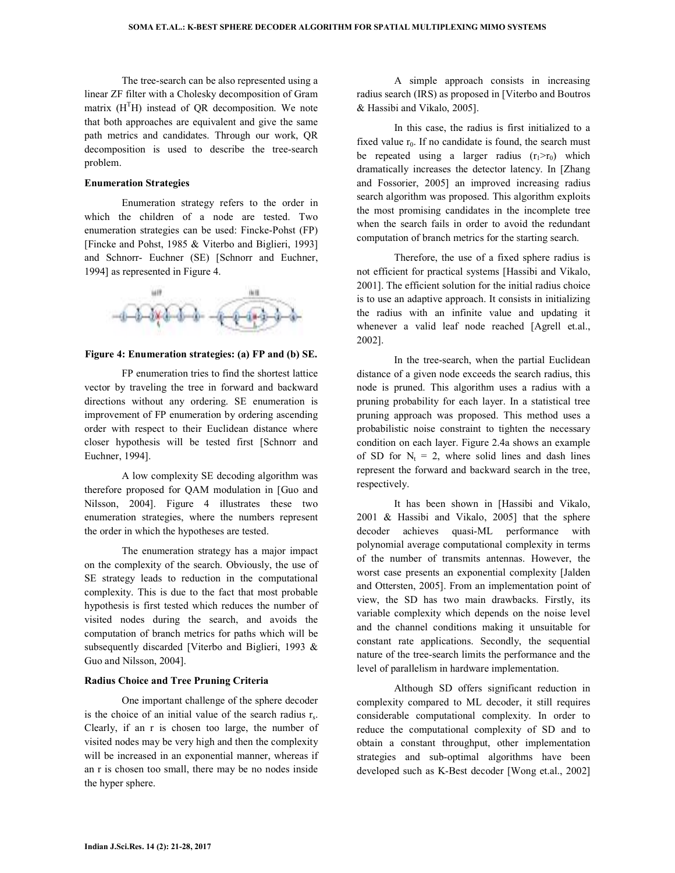The tree-search can be also represented using a linear ZF filter with a Cholesky decomposition of Gram matrix  $(H<sup>T</sup>H)$  instead of QR decomposition. We note that both approaches are equivalent and give the same path metrics and candidates. Through our work, QR decomposition is used to describe the tree-search problem.

#### **Enumeration Strategies**

 Enumeration strategy refers to the order in which the children of a node are tested. Two enumeration strategies can be used: Fincke-Pohst (FP) [Fincke and Pohst, 1985 & Viterbo and Biglieri, 1993] and Schnorr- Euchner (SE) [Schnorr and Euchner, 1994] as represented in Figure 4.



#### **Figure 4: Enumeration strategies: (a) FP and (b) SE.**

 FP enumeration tries to find the shortest lattice vector by traveling the tree in forward and backward directions without any ordering. SE enumeration is improvement of FP enumeration by ordering ascending order with respect to their Euclidean distance where closer hypothesis will be tested first [Schnorr and Euchner, 1994].

 A low complexity SE decoding algorithm was therefore proposed for QAM modulation in [Guo and Nilsson, 2004]. Figure 4 illustrates these two enumeration strategies, where the numbers represent the order in which the hypotheses are tested.

 The enumeration strategy has a major impact on the complexity of the search. Obviously, the use of SE strategy leads to reduction in the computational complexity. This is due to the fact that most probable hypothesis is first tested which reduces the number of visited nodes during the search, and avoids the computation of branch metrics for paths which will be subsequently discarded [Viterbo and Biglieri, 1993 & Guo and Nilsson, 2004].

### **Radius Choice and Tree Pruning Criteria**

 One important challenge of the sphere decoder is the choice of an initial value of the search radius  $r_s$ . Clearly, if an r is chosen too large, the number of visited nodes may be very high and then the complexity will be increased in an exponential manner, whereas if an r is chosen too small, there may be no nodes inside the hyper sphere.

 A simple approach consists in increasing radius search (IRS) as proposed in [Viterbo and Boutros & Hassibi and Vikalo, 2005].

 In this case, the radius is first initialized to a fixed value  $r_0$ . If no candidate is found, the search must be repeated using a larger radius  $(r_1>r_0)$  which dramatically increases the detector latency. In [Zhang and Fossorier, 2005] an improved increasing radius search algorithm was proposed. This algorithm exploits the most promising candidates in the incomplete tree when the search fails in order to avoid the redundant computation of branch metrics for the starting search.

 Therefore, the use of a fixed sphere radius is not efficient for practical systems [Hassibi and Vikalo, 2001]. The efficient solution for the initial radius choice is to use an adaptive approach. It consists in initializing the radius with an infinite value and updating it whenever a valid leaf node reached [Agrell et.al., 2002].

 In the tree-search, when the partial Euclidean distance of a given node exceeds the search radius, this node is pruned. This algorithm uses a radius with a pruning probability for each layer. In a statistical tree pruning approach was proposed. This method uses a probabilistic noise constraint to tighten the necessary condition on each layer. Figure 2.4a shows an example of SD for  $N_t = 2$ , where solid lines and dash lines represent the forward and backward search in the tree, respectively.

 It has been shown in [Hassibi and Vikalo, 2001 & Hassibi and Vikalo, 2005] that the sphere decoder achieves quasi-ML performance with polynomial average computational complexity in terms of the number of transmits antennas. However, the worst case presents an exponential complexity [Jalden and Ottersten, 2005]. From an implementation point of view, the SD has two main drawbacks. Firstly, its variable complexity which depends on the noise level and the channel conditions making it unsuitable for constant rate applications. Secondly, the sequential nature of the tree-search limits the performance and the level of parallelism in hardware implementation.

 Although SD offers significant reduction in complexity compared to ML decoder, it still requires considerable computational complexity. In order to reduce the computational complexity of SD and to obtain a constant throughput, other implementation strategies and sub-optimal algorithms have been developed such as K-Best decoder [Wong et.al., 2002]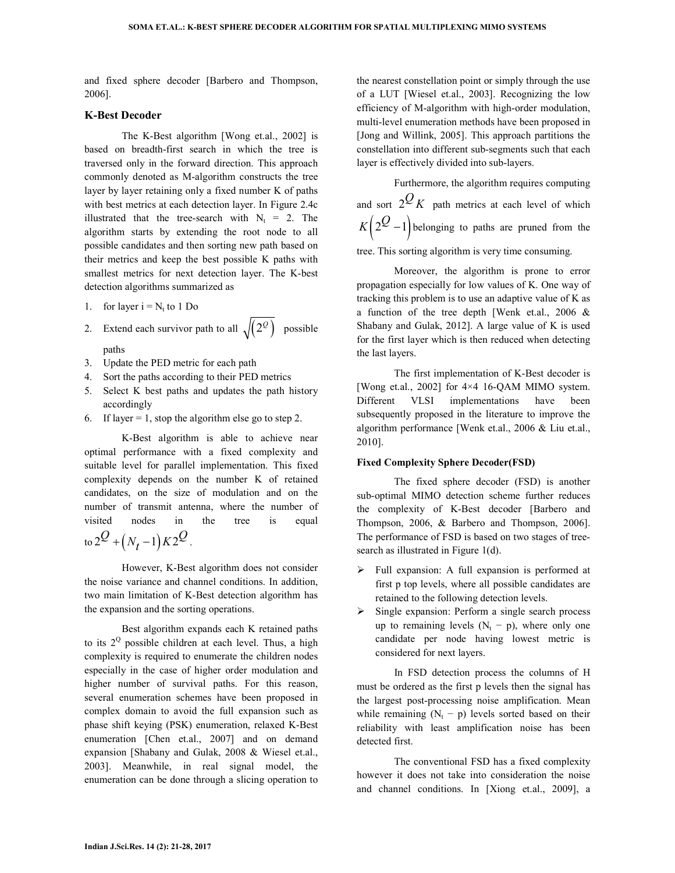and fixed sphere decoder [Barbero and Thompson, 2006].

### **K-Best Decoder**

 The K-Best algorithm [Wong et.al., 2002] is based on breadth-first search in which the tree is traversed only in the forward direction. This approach commonly denoted as M-algorithm constructs the tree layer by layer retaining only a fixed number K of paths with best metrics at each detection layer. In Figure 2.4c illustrated that the tree-search with  $N_t = 2$ . The algorithm starts by extending the root node to all possible candidates and then sorting new path based on their metrics and keep the best possible K paths with smallest metrics for next detection layer. The K-best detection algorithms summarized as

- 1. for layer  $i = N_t$  to 1 Do
- 2. Extend each survivor path to all  $\sqrt{(2^{\circ})}$  possible paths
- 3. Update the PED metric for each path
- 4. Sort the paths according to their PED metrics
- 5. Select K best paths and updates the path history accordingly
- 6. If layer  $= 1$ , stop the algorithm else go to step 2.

 K-Best algorithm is able to achieve near optimal performance with a fixed complexity and suitable level for parallel implementation. This fixed complexity depends on the number K of retained candidates, on the size of modulation and on the number of transmit antenna, where the number of visited nodes in the tree is equal  $\int \frac{d^2 y}{(N_t - 1) K^2}$ .

 However, K-Best algorithm does not consider the noise variance and channel conditions. In addition, two main limitation of K-Best detection algorithm has the expansion and the sorting operations.

 Best algorithm expands each K retained paths to its  $2^{\circ}$  possible children at each level. Thus, a high complexity is required to enumerate the children nodes especially in the case of higher order modulation and higher number of survival paths. For this reason, several enumeration schemes have been proposed in complex domain to avoid the full expansion such as phase shift keying (PSK) enumeration, relaxed K-Best enumeration [Chen et.al., 2007] and on demand expansion [Shabany and Gulak, 2008 & Wiesel et.al., 2003]. Meanwhile, in real signal model, the enumeration can be done through a slicing operation to

the nearest constellation point or simply through the use of a LUT [Wiesel et.al., 2003]. Recognizing the low efficiency of M-algorithm with high-order modulation, multi-level enumeration methods have been proposed in [Jong and Willink, 2005]. This approach partitions the constellation into different sub-segments such that each layer is effectively divided into sub-layers.

 Furthermore, the algorithm requires computing and sort  $2^{\mathcal{Q}} K$  path metrics at each level of which  $K(2^{\mathcal{Q}}-1)$  belonging to paths are pruned from the

tree. This sorting algorithm is very time consuming.

 Moreover, the algorithm is prone to error propagation especially for low values of K. One way of tracking this problem is to use an adaptive value of K as a function of the tree depth [Wenk et.al., 2006 & Shabany and Gulak, 2012]. A large value of K is used for the first layer which is then reduced when detecting the last layers.

 The first implementation of K-Best decoder is [Wong et.al., 2002] for 4×4 16-QAM MIMO system. Different VLSI implementations have been subsequently proposed in the literature to improve the algorithm performance [Wenk et.al., 2006 & Liu et.al., 2010].

#### **Fixed Complexity Sphere Decoder(FSD)**

 The fixed sphere decoder (FSD) is another sub-optimal MIMO detection scheme further reduces the complexity of K-Best decoder [Barbero and Thompson, 2006, & Barbero and Thompson, 2006]. The performance of FSD is based on two stages of treesearch as illustrated in Figure 1(d).

- $\triangleright$  Full expansion: A full expansion is performed at first p top levels, where all possible candidates are retained to the following detection levels.
- $\triangleright$  Single expansion: Perform a single search process up to remaining levels  $(N_t - p)$ , where only one candidate per node having lowest metric is considered for next layers.

 In FSD detection process the columns of H must be ordered as the first p levels then the signal has the largest post-processing noise amplification. Mean while remaining  $(N_t - p)$  levels sorted based on their reliability with least amplification noise has been detected first.

 The conventional FSD has a fixed complexity however it does not take into consideration the noise and channel conditions. In [Xiong et.al., 2009], a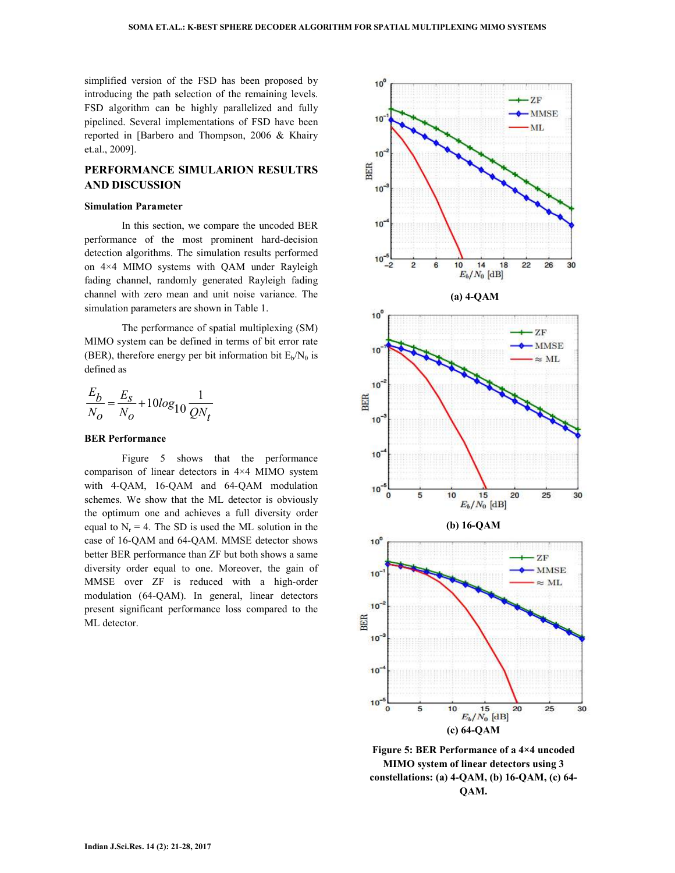simplified version of the FSD has been proposed by introducing the path selection of the remaining levels. FSD algorithm can be highly parallelized and fully pipelined. Several implementations of FSD have been reported in [Barbero and Thompson, 2006 & Khairy et.al., 2009].

## **PERFORMANCE SIMULARION RESULTRS AND DISCUSSION**

#### **Simulation Parameter**

 In this section, we compare the uncoded BER performance of the most prominent hard-decision detection algorithms. The simulation results performed on 4×4 MIMO systems with QAM under Rayleigh fading channel, randomly generated Rayleigh fading channel with zero mean and unit noise variance. The simulation parameters are shown in Table 1.

 The performance of spatial multiplexing (SM) MIMO system can be defined in terms of bit error rate (BER), therefore energy per bit information bit  $E_b/N_0$  is defined as

$$
\frac{E_b}{N_O} = \frac{E_S}{N_O} + 10\log_{10}\frac{1}{QN_t}
$$

#### **BER Performance**

 Figure 5 shows that the performance comparison of linear detectors in 4×4 MIMO system with 4-QAM, 16-QAM and 64-QAM modulation schemes. We show that the ML detector is obviously the optimum one and achieves a full diversity order equal to  $N_r = 4$ . The SD is used the ML solution in the case of 16-QAM and 64-QAM. MMSE detector shows better BER performance than ZF but both shows a same diversity order equal to one. Moreover, the gain of MMSE over ZF is reduced with a high-order modulation (64-QAM). In general, linear detectors present significant performance loss compared to the ML detector.



**MIMO system of linear detectors using 3 constellations: (a) 4-QAM, (b) 16-QAM, (c) 64- QAM.**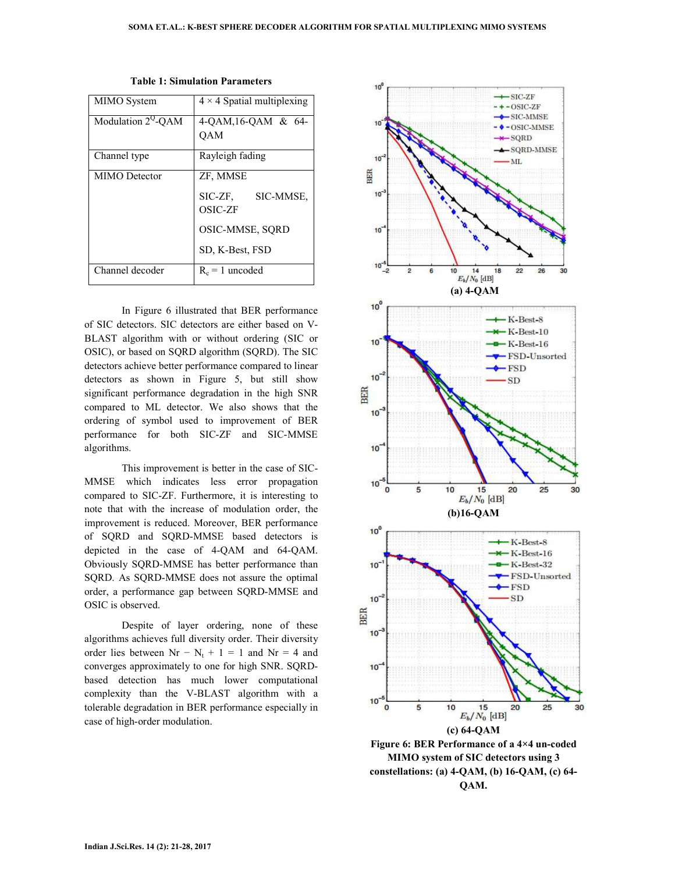| MIMO System           | $4 \times 4$ Spatial multiplexing |
|-----------------------|-----------------------------------|
| Modulation $2^Q$ -QAM | 4-QAM,16-QAM & 64-                |
|                       | <b>OAM</b>                        |
| Channel type          | Rayleigh fading                   |
| MIMO Detector         | ZF, MMSE                          |
|                       | SIC-ZF, SIC-MMSE,                 |
|                       | <b>OSIC-ZF</b>                    |
|                       | OSIC-MMSE, SQRD                   |
|                       | SD, K-Best, FSD                   |
| Channel decoder       | $R_c = 1$ uncoded                 |

**Table 1: Simulation Parameters** 

 In Figure 6 illustrated that BER performance of SIC detectors. SIC detectors are either based on V-BLAST algorithm with or without ordering (SIC or OSIC), or based on SQRD algorithm (SQRD). The SIC detectors achieve better performance compared to linear detectors as shown in Figure 5, but still show significant performance degradation in the high SNR compared to ML detector. We also shows that the ordering of symbol used to improvement of BER performance for both SIC-ZF and SIC-MMSE algorithms.

 This improvement is better in the case of SIC-MMSE which indicates less error propagation compared to SIC-ZF. Furthermore, it is interesting to note that with the increase of modulation order, the improvement is reduced. Moreover, BER performance of SQRD and SQRD-MMSE based detectors is depicted in the case of 4-QAM and 64-QAM. Obviously SQRD-MMSE has better performance than SQRD. As SQRD-MMSE does not assure the optimal order, a performance gap between SQRD-MMSE and OSIC is observed.

 Despite of layer ordering, none of these algorithms achieves full diversity order. Their diversity order lies between  $Nr - N_t + 1 = 1$  and  $Nr = 4$  and converges approximately to one for high SNR. SQRDbased detection has much lower computational complexity than the V-BLAST algorithm with a tolerable degradation in BER performance especially in case of high-order modulation.

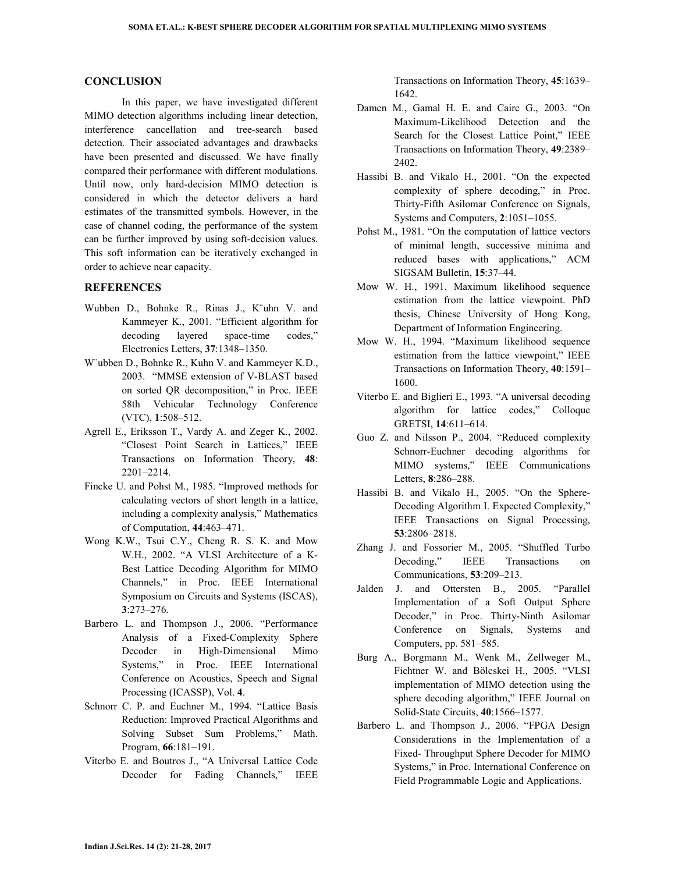#### **CONCLUSION**

 In this paper, we have investigated different MIMO detection algorithms including linear detection, interference cancellation and tree-search based detection. Their associated advantages and drawbacks have been presented and discussed. We have finally compared their performance with different modulations. Until now, only hard-decision MIMO detection is considered in which the detector delivers a hard estimates of the transmitted symbols. However, in the case of channel coding, the performance of the system can be further improved by using soft-decision values. This soft information can be iteratively exchanged in order to achieve near capacity.

#### **REFERENCES**

- Wubben D., Bohnke R., Rinas J., K¨uhn V. and Kammeyer K., 2001. "Efficient algorithm for decoding layered space-time codes," Electronics Letters, **37**:1348–1350.
- W¨ubben D., Bohnke R., Kuhn V. and Kammeyer K.D., 2003. "MMSE extension of V-BLAST based on sorted QR decomposition," in Proc. IEEE 58th Vehicular Technology Conference (VTC), **1**:508–512.
- Agrell E., Eriksson T., Vardy A. and Zeger K., 2002. "Closest Point Search in Lattices," IEEE Transactions on Information Theory, **48**: 2201–2214.
- Fincke U. and Pohst M., 1985. "Improved methods for calculating vectors of short length in a lattice, including a complexity analysis," Mathematics of Computation, **44**:463–471.
- Wong K.W., Tsui C.Y., Cheng R. S. K. and Mow W.H., 2002. "A VLSI Architecture of a K-Best Lattice Decoding Algorithm for MIMO Channels," in Proc. IEEE International Symposium on Circuits and Systems (ISCAS), **3**:273–276.
- Barbero L. and Thompson J., 2006. "Performance Analysis of a Fixed-Complexity Sphere Decoder in High-Dimensional Mimo Systems," in Proc. IEEE International Conference on Acoustics, Speech and Signal Processing (ICASSP), Vol. **4**.
- Schnorr C. P. and Euchner M., 1994. "Lattice Basis Reduction: Improved Practical Algorithms and Solving Subset Sum Problems," Math. Program, **66**:181–191.
- Viterbo E. and Boutros J., "A Universal Lattice Code Decoder for Fading Channels," IEEE

Transactions on Information Theory, **45**:1639– 1642.

- Damen M., Gamal H. E. and Caire G., 2003. "On Maximum-Likelihood Detection and the Search for the Closest Lattice Point," IEEE Transactions on Information Theory, **49**:2389– 2402.
- Hassibi B. and Vikalo H., 2001. "On the expected complexity of sphere decoding," in Proc. Thirty-Fifth Asilomar Conference on Signals, Systems and Computers, **2**:1051–1055.
- Pohst M., 1981. "On the computation of lattice vectors of minimal length, successive minima and reduced bases with applications," ACM SIGSAM Bulletin, **15**:37–44.
- Mow W. H., 1991. Maximum likelihood sequence estimation from the lattice viewpoint. PhD thesis, Chinese University of Hong Kong, Department of Information Engineering.
- Mow W. H., 1994. "Maximum likelihood sequence estimation from the lattice viewpoint," IEEE Transactions on Information Theory, **40**:1591– 1600.
- Viterbo E. and Biglieri E., 1993. "A universal decoding algorithm for lattice codes," Colloque GRETSI, **14**:611–614.
- Guo Z. and Nilsson P., 2004. "Reduced complexity Schnorr-Euchner decoding algorithms for MIMO systems," IEEE Communications Letters, **8**:286–288.
- Hassibi B. and Vikalo H., 2005. "On the Sphere-Decoding Algorithm I. Expected Complexity," IEEE Transactions on Signal Processing, **53**:2806–2818.
- Zhang J. and Fossorier M., 2005. "Shuffled Turbo Decoding," IEEE Transactions on Communications, **53**:209–213.
- Jalden J. and Ottersten B., 2005. "Parallel Implementation of a Soft Output Sphere Decoder," in Proc. Thirty-Ninth Asilomar Conference on Signals, Systems and Computers, pp. 581–585.
- Burg A., Borgmann M., Wenk M., Zellweger M., Fichtner W. and Bölcskei H., 2005. "VLSI implementation of MIMO detection using the sphere decoding algorithm," IEEE Journal on Solid-State Circuits, **40**:1566–1577.
- Barbero L. and Thompson J., 2006. "FPGA Design Considerations in the Implementation of a Fixed- Throughput Sphere Decoder for MIMO Systems," in Proc. International Conference on Field Programmable Logic and Applications.